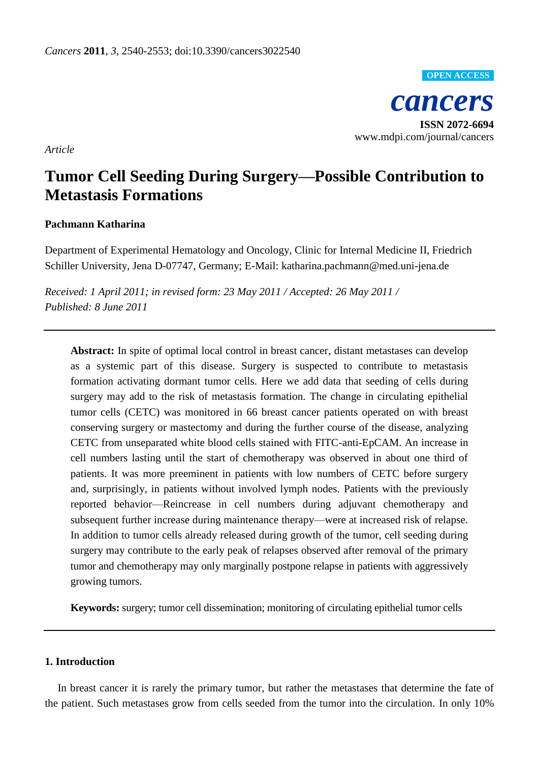*cancers* **ISSN 2072-6694** www.mdpi.com/journal/cancers **OPEN ACCESS**

*Article*

# **Tumor Cell Seeding During Surgery—Possible Contribution to Metastasis Formations**

## **Pachmann Katharina**

Department of Experimental Hematology and Oncology, Clinic for Internal Medicine II, Friedrich Schiller University, Jena D-07747, Germany; E-Mail: katharina.pachmann@med.uni-jena.de

*Received: 1 April 2011; in revised form: 23 May 2011 / Accepted: 26 May 2011 / Published: 8 June 2011*

**Abstract:** In spite of optimal local control in breast cancer, distant metastases can develop as a systemic part of this disease. Surgery is suspected to contribute to metastasis formation activating dormant tumor cells. Here we add data that seeding of cells during surgery may add to the risk of metastasis formation. The change in circulating epithelial tumor cells (CETC) was monitored in 66 breast cancer patients operated on with breast conserving surgery or mastectomy and during the further course of the disease, analyzing CETC from unseparated white blood cells stained with FITC-anti-EpCAM. An increase in cell numbers lasting until the start of chemotherapy was observed in about one third of patients. It was more preeminent in patients with low numbers of CETC before surgery and, surprisingly, in patients without involved lymph nodes. Patients with the previously reported behavior—Reincrease in cell numbers during adjuvant chemotherapy and subsequent further increase during maintenance therapy—were at increased risk of relapse. In addition to tumor cells already released during growth of the tumor, cell seeding during surgery may contribute to the early peak of relapses observed after removal of the primary tumor and chemotherapy may only marginally postpone relapse in patients with aggressively growing tumors.

**Keywords:** surgery; tumor cell dissemination; monitoring of circulating epithelial tumor cells

## **1. Introduction**

In breast cancer it is rarely the primary tumor, but rather the metastases that determine the fate of the patient. Such metastases grow from cells seeded from the tumor into the circulation. In only 10%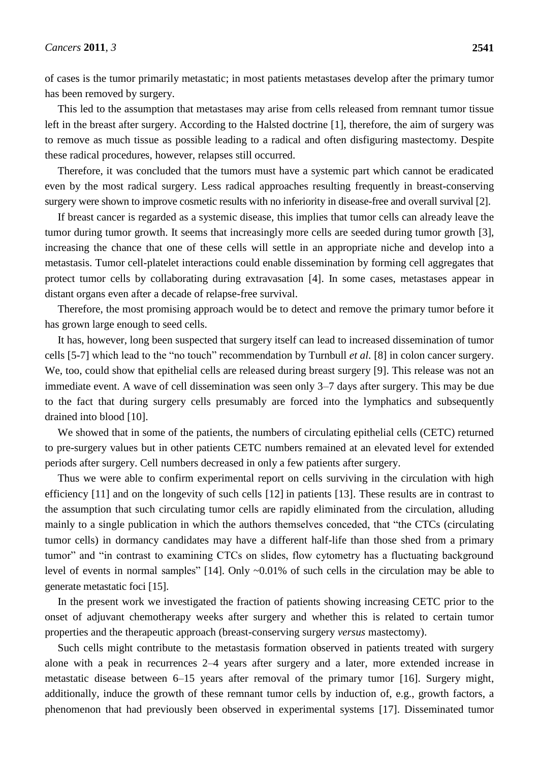of cases is the tumor primarily metastatic; in most patients metastases develop after the primary tumor has been removed by surgery.

This led to the assumption that metastases may arise from cells released from remnant tumor tissue left in the breast after surgery. According to the Halsted doctrine [1], therefore, the aim of surgery was to remove as much tissue as possible leading to a radical and often disfiguring mastectomy. Despite these radical procedures, however, relapses still occurred.

Therefore, it was concluded that the tumors must have a systemic part which cannot be eradicated even by the most radical surgery. Less radical approaches resulting frequently in breast-conserving surgery were shown to improve cosmetic results with no inferiority in disease-free and overall survival [2].

If breast cancer is regarded as a systemic disease, this implies that tumor cells can already leave the tumor during tumor growth. It seems that increasingly more cells are seeded during tumor growth [3], increasing the chance that one of these cells will settle in an appropriate niche and develop into a metastasis. Tumor cell-platelet interactions could enable dissemination by forming cell aggregates that protect tumor cells by collaborating during extravasation [4]. In some cases, metastases appear in distant organs even after a decade of relapse-free survival.

Therefore, the most promising approach would be to detect and remove the primary tumor before it has grown large enough to seed cells.

It has, however, long been suspected that surgery itself can lead to increased dissemination of tumor cells [5-7] which lead to the "no touch" recommendation by Turnbull *et al.* [8] in colon cancer surgery. We, too, could show that epithelial cells are released during breast surgery [9]. This release was not an immediate event. A wave of cell dissemination was seen only 3–7 days after surgery. This may be due to the fact that during surgery cells presumably are forced into the lymphatics and subsequently drained into blood [10].

We showed that in some of the patients, the numbers of circulating epithelial cells (CETC) returned to pre-surgery values but in other patients CETC numbers remained at an elevated level for extended periods after surgery. Cell numbers decreased in only a few patients after surgery.

Thus we were able to confirm experimental report on cells surviving in the circulation with high efficiency [11] and on the longevity of such cells [12] in patients [13]. These results are in contrast to the assumption that such circulating tumor cells are rapidly eliminated from the circulation, alluding mainly to a single publication in which the authors themselves conceded, that "the CTCs (circulating tumor cells) in dormancy candidates may have a different half-life than those shed from a primary tumor" and "in contrast to examining CTCs on slides, flow cytometry has a fluctuating background level of events in normal samples"  $[14]$ . Only  $\sim 0.01\%$  of such cells in the circulation may be able to generate metastatic foci [15].

In the present work we investigated the fraction of patients showing increasing CETC prior to the onset of adjuvant chemotherapy weeks after surgery and whether this is related to certain tumor properties and the therapeutic approach (breast-conserving surgery *versus* mastectomy).

Such cells might contribute to the metastasis formation observed in patients treated with surgery alone with a peak in recurrences 2–4 years after surgery and a later, more extended increase in metastatic disease between 6–15 years after removal of the primary tumor [16]. Surgery might, additionally, induce the growth of these remnant tumor cells by induction of, e.g., growth factors, a phenomenon that had previously been observed in experimental systems [17]. Disseminated tumor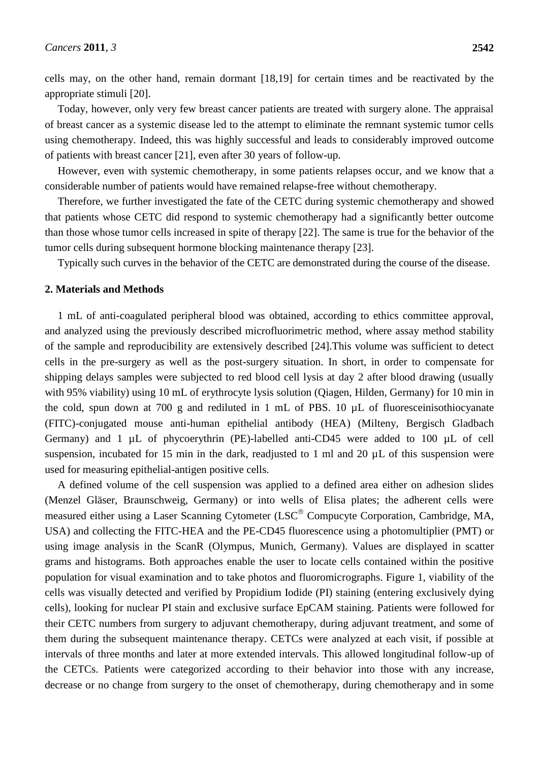cells may, on the other hand, remain dormant [18,19] for certain times and be reactivated by the appropriate stimuli [20].

Today, however, only very few breast cancer patients are treated with surgery alone. The appraisal of breast cancer as a systemic disease led to the attempt to eliminate the remnant systemic tumor cells using chemotherapy. Indeed, this was highly successful and leads to considerably improved outcome of patients with breast cancer [21], even after 30 years of follow-up.

However, even with systemic chemotherapy, in some patients relapses occur, and we know that a considerable number of patients would have remained relapse-free without chemotherapy.

Therefore, we further investigated the fate of the CETC during systemic chemotherapy and showed that patients whose CETC did respond to systemic chemotherapy had a significantly better outcome than those whose tumor cells increased in spite of therapy [22]. The same is true for the behavior of the tumor cells during subsequent hormone blocking maintenance therapy [23].

Typically such curves in the behavior of the CETC are demonstrated during the course of the disease.

#### **2. Materials and Methods**

1 mL of anti-coagulated peripheral blood was obtained, according to ethics committee approval, and analyzed using the previously described microfluorimetric method, where assay method stability of the sample and reproducibility are extensively described [24].This volume was sufficient to detect cells in the pre-surgery as well as the post-surgery situation. In short, in order to compensate for shipping delays samples were subjected to red blood cell lysis at day 2 after blood drawing (usually with 95% viability) using 10 mL of erythrocyte lysis solution (Qiagen, Hilden, Germany) for 10 min in the cold, spun down at 700 g and rediluted in 1 mL of PBS. 10 µL of fluoresceinisothiocyanate (FITC)-conjugated mouse anti-human epithelial antibody (HEA) (Milteny, Bergisch Gladbach Germany) and 1 µL of phycoerythrin (PE)-labelled anti-CD45 were added to 100 µL of cell suspension, incubated for 15 min in the dark, readjusted to 1 ml and 20  $\mu$ L of this suspension were used for measuring epithelial-antigen positive cells.

A defined volume of the cell suspension was applied to a defined area either on adhesion slides (Menzel Gläser, Braunschweig, Germany) or into wells of Elisa plates; the adherent cells were measured either using a Laser Scanning Cytometer (LSC<sup>®</sup> Compucyte Corporation, Cambridge, MA, USA) and collecting the FITC-HEA and the PE-CD45 fluorescence using a photomultiplier (PMT) or using image analysis in the ScanR (Olympus, Munich, Germany). Values are displayed in scatter grams and histograms. Both approaches enable the user to locate cells contained within the positive population for visual examination and to take photos and fluoromicrographs. Figure 1, viability of the cells was visually detected and verified by Propidium Iodide (PI) staining (entering exclusively dying cells), looking for nuclear PI stain and exclusive surface EpCAM staining. Patients were followed for their CETC numbers from surgery to adjuvant chemotherapy, during adjuvant treatment, and some of them during the subsequent maintenance therapy. CETCs were analyzed at each visit, if possible at intervals of three months and later at more extended intervals. This allowed longitudinal follow-up of the CETCs. Patients were categorized according to their behavior into those with any increase, decrease or no change from surgery to the onset of chemotherapy, during chemotherapy and in some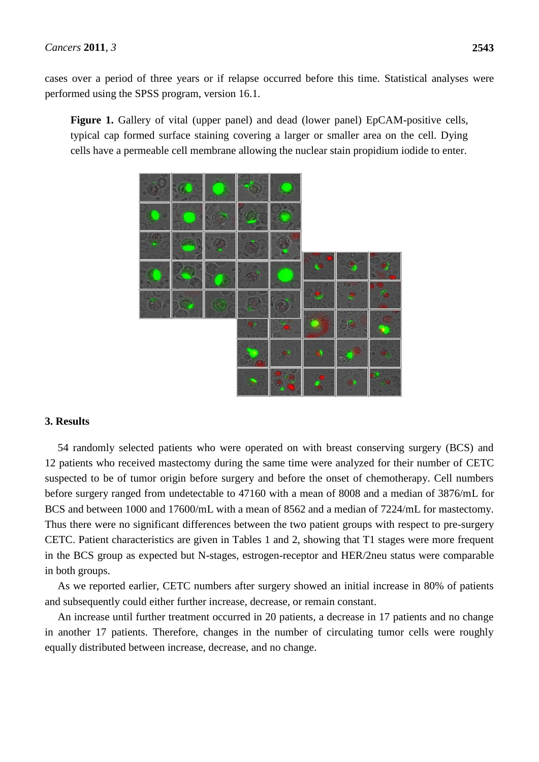cases over a period of three years or if relapse occurred before this time. Statistical analyses were performed using the SPSS program, version 16.1.

Figure 1. Gallery of vital (upper panel) and dead (lower panel) EpCAM-positive cells, typical cap formed surface staining covering a larger or smaller area on the cell. Dying cells have a permeable cell membrane allowing the nuclear stain propidium iodide to enter.



#### **3. Results**

54 randomly selected patients who were operated on with breast conserving surgery (BCS) and 12 patients who received mastectomy during the same time were analyzed for their number of CETC suspected to be of tumor origin before surgery and before the onset of chemotherapy. Cell numbers before surgery ranged from undetectable to 47160 with a mean of 8008 and a median of 3876/mL for BCS and between 1000 and 17600/mL with a mean of 8562 and a median of 7224/mL for mastectomy. Thus there were no significant differences between the two patient groups with respect to pre-surgery CETC. Patient characteristics are given in Tables 1 and 2, showing that T1 stages were more frequent in the BCS group as expected but N-stages, estrogen-receptor and HER/2neu status were comparable in both groups.

As we reported earlier, CETC numbers after surgery showed an initial increase in 80% of patients and subsequently could either further increase, decrease, or remain constant.

An increase until further treatment occurred in 20 patients, a decrease in 17 patients and no change in another 17 patients. Therefore, changes in the number of circulating tumor cells were roughly equally distributed between increase, decrease, and no change.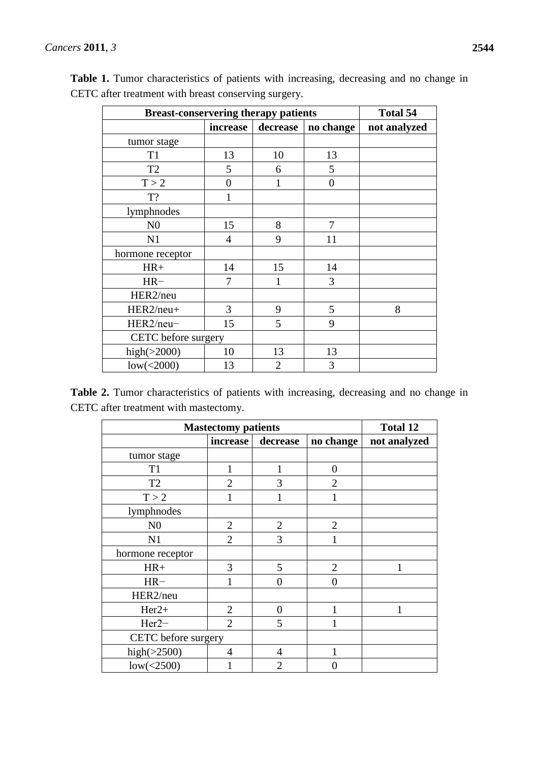| <b>Breast-conservering therapy patients</b> | <b>Total 54</b> |                |                |              |
|---------------------------------------------|-----------------|----------------|----------------|--------------|
|                                             | increase        | decrease       | no change      | not analyzed |
| tumor stage                                 |                 |                |                |              |
| T <sub>1</sub>                              | 13              | 10             | 13             |              |
| T <sub>2</sub>                              | 5               | 6              | 5              |              |
| T > 2                                       | $\overline{0}$  |                | $\overline{0}$ |              |
| T?                                          |                 |                |                |              |
| lymphnodes                                  |                 |                |                |              |
| N <sub>0</sub>                              | 15              | 8              | 7              |              |
| N1                                          | $\overline{4}$  | 9              | 11             |              |
| hormone receptor                            |                 |                |                |              |
| $HR+$                                       | 14              | 15             | 14             |              |
| $HR-$                                       | 7               |                | 3              |              |
| HER2/neu                                    |                 |                |                |              |
| HER2/neu+                                   | 3               | 9              | 5              | 8            |
| HER2/neu-                                   | 15              | 5              | 9              |              |
| CETC before surgery                         |                 |                |                |              |
| high $(>2000)$                              | 10              | 13             | 13             |              |
| low(<2000)                                  | 13              | $\overline{2}$ | 3              |              |

**Table 1.** Tumor characteristics of patients with increasing, decreasing and no change in CETC after treatment with breast conserving surgery.

**Table 2.** Tumor characteristics of patients with increasing, decreasing and no change in CETC after treatment with mastectomy.

| <b>Mastectomy patients</b> | <b>Total 12</b> |                |                   |              |
|----------------------------|-----------------|----------------|-------------------|--------------|
|                            | increase        | decrease       | no change         | not analyzed |
| tumor stage                |                 |                |                   |              |
| T1                         | 1               |                | 0                 |              |
| T <sub>2</sub>             | $\overline{2}$  | 3              | $\overline{2}$    |              |
| T > 2                      | 1               |                |                   |              |
| lymphnodes                 |                 |                |                   |              |
| N <sub>0</sub>             | $\overline{2}$  | $\overline{2}$ | $\overline{2}$    |              |
| N1                         | $\overline{2}$  | 3              |                   |              |
| hormone receptor           |                 |                |                   |              |
| $HR+$                      | 3               | 5              | $\overline{2}$    |              |
| $HR-$                      |                 | 0              | $\mathbf{\Omega}$ |              |
| HER2/neu                   |                 |                |                   |              |
| $Her2+$                    | $\overline{2}$  | 0              |                   |              |
| $Her2-$                    | $\overline{2}$  | 5              |                   |              |
| CETC before surgery        |                 |                |                   |              |
| high $(>2500)$             | 4               | 4              |                   |              |
| low(<2500)                 |                 | $\overline{2}$ |                   |              |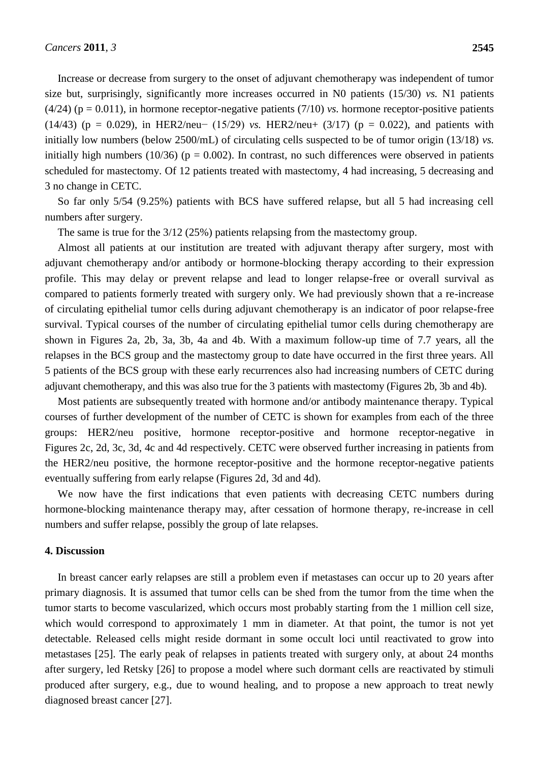Increase or decrease from surgery to the onset of adjuvant chemotherapy was independent of tumor size but, surprisingly, significantly more increases occurred in N0 patients (15/30) *vs.* N1 patients  $(4/24)$  ( $p = 0.011$ ), in hormone receptor-negative patients (7/10) *vs.* hormone receptor-positive patients (14/43) (p = 0.029), in HER2/neu− (15/29) *vs.* HER2/neu+ (3/17) (p = 0.022), and patients with initially low numbers (below 2500/mL) of circulating cells suspected to be of tumor origin (13/18) *vs.* initially high numbers (10/36) ( $p = 0.002$ ). In contrast, no such differences were observed in patients scheduled for mastectomy. Of 12 patients treated with mastectomy, 4 had increasing, 5 decreasing and 3 no change in CETC.

So far only 5/54 (9.25%) patients with BCS have suffered relapse, but all 5 had increasing cell numbers after surgery.

The same is true for the 3/12 (25%) patients relapsing from the mastectomy group.

Almost all patients at our institution are treated with adjuvant therapy after surgery, most with adjuvant chemotherapy and/or antibody or hormone-blocking therapy according to their expression profile. This may delay or prevent relapse and lead to longer relapse-free or overall survival as compared to patients formerly treated with surgery only. We had previously shown that a re-increase of circulating epithelial tumor cells during adjuvant chemotherapy is an indicator of poor relapse-free survival. Typical courses of the number of circulating epithelial tumor cells during chemotherapy are shown in Figures 2a, 2b, 3a, 3b, 4a and 4b. With a maximum follow-up time of 7.7 years, all the relapses in the BCS group and the mastectomy group to date have occurred in the first three years. All 5 patients of the BCS group with these early recurrences also had increasing numbers of CETC during adjuvant chemotherapy, and this was also true for the 3 patients with mastectomy (Figures 2b, 3b and 4b).

Most patients are subsequently treated with hormone and/or antibody maintenance therapy. Typical courses of further development of the number of CETC is shown for examples from each of the three groups: HER2/neu positive, hormone receptor-positive and hormone receptor-negative in Figures 2c, 2d, 3c, 3d, 4c and 4d respectively. CETC were observed further increasing in patients from the HER2/neu positive, the hormone receptor-positive and the hormone receptor-negative patients eventually suffering from early relapse (Figures 2d, 3d and 4d).

We now have the first indications that even patients with decreasing CETC numbers during hormone-blocking maintenance therapy may, after cessation of hormone therapy, re-increase in cell numbers and suffer relapse, possibly the group of late relapses.

## **4. Discussion**

In breast cancer early relapses are still a problem even if metastases can occur up to 20 years after primary diagnosis. It is assumed that tumor cells can be shed from the tumor from the time when the tumor starts to become vascularized, which occurs most probably starting from the 1 million cell size, which would correspond to approximately 1 mm in diameter. At that point, the tumor is not yet detectable. Released cells might reside dormant in some occult loci until reactivated to grow into metastases [25]. The early peak of relapses in patients treated with surgery only, at about 24 months after surgery, led Retsky [26] to propose a model where such dormant cells are reactivated by stimuli produced after surgery, e.g., due to wound healing, and to propose a new approach to treat newly diagnosed breast cancer [27].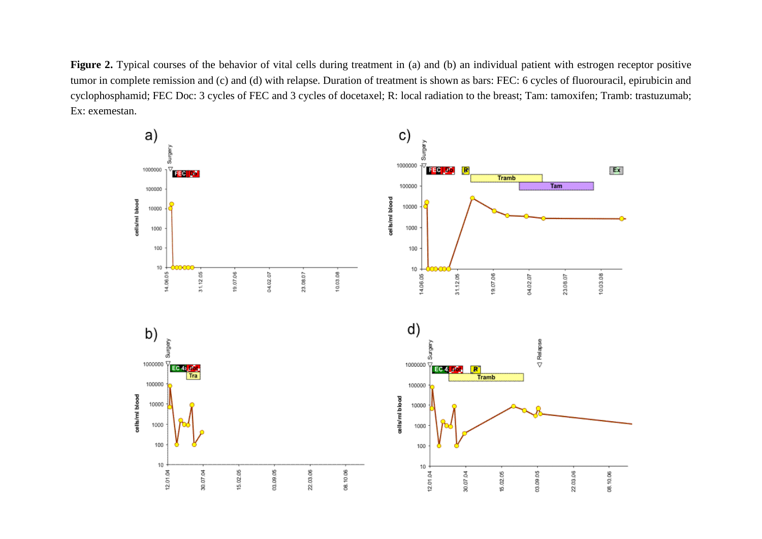Figure 2. Typical courses of the behavior of vital cells during treatment in (a) and (b) an individual patient with estrogen receptor positive tumor in complete remission and (c) and (d) with relapse. Duration of treatment is shown as bars: FEC: 6 cycles of fluorouracil, epirubicin and cyclophosphamid; FEC Doc: 3 cycles of FEC and 3 cycles of docetaxel; R: local radiation to the breast; Tam: tamoxifen; Tramb: trastuzumab; Ex: exemestan.

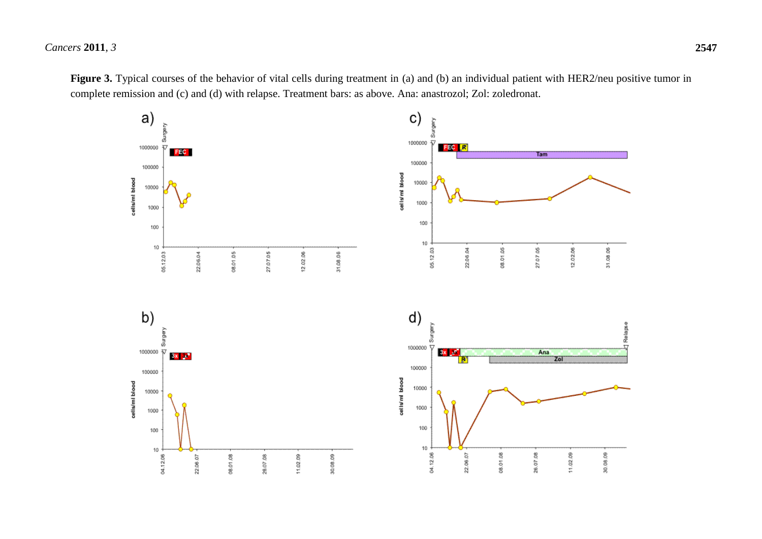*Cancers* **2011**, *3* **2547**



Figure 3. Typical courses of the behavior of vital cells during treatment in (a) and (b) an individual patient with HER2/neu positive tumor in complete remission and (c) and (d) with relapse. Treatment bars: as above. Ana: anastrozol; Zol: zoledronat.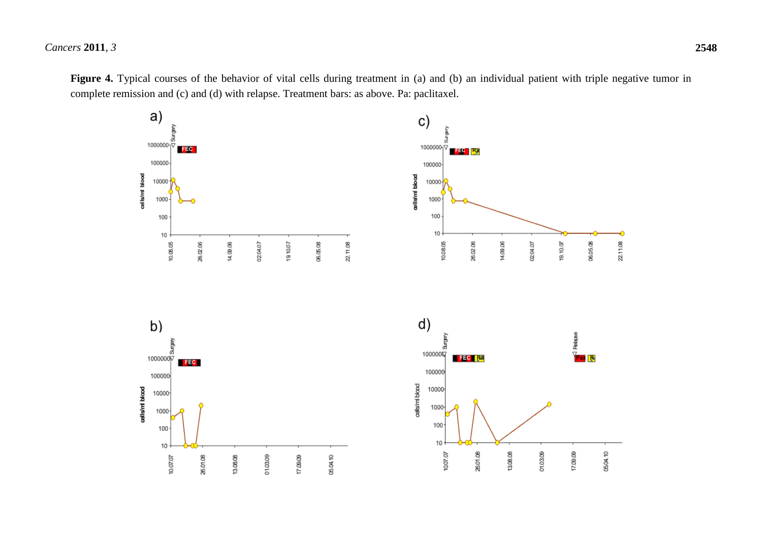*Cancers* **2011**, *3* **2548**

Figure 4. Typical courses of the behavior of vital cells during treatment in (a) and (b) an individual patient with triple negative tumor in complete remission and (c) and (d) with relapse. Treatment bars: as above. Pa: paclitaxel.

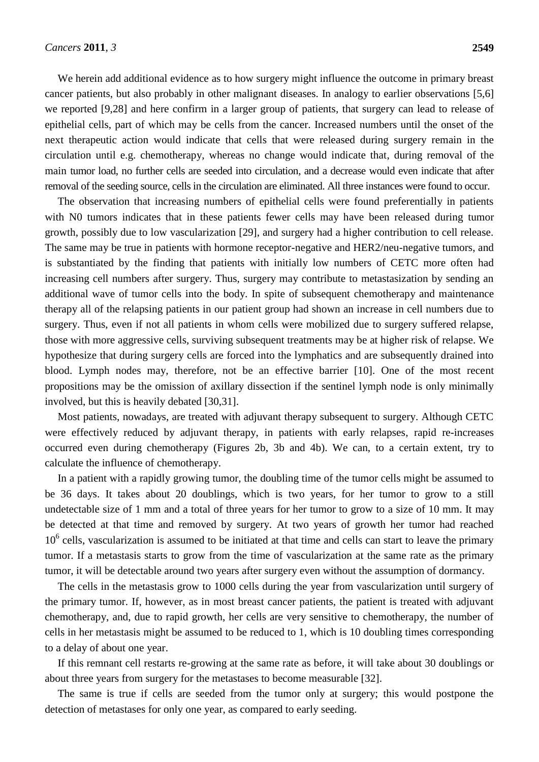We herein add additional evidence as to how surgery might influence the outcome in primary breast cancer patients, but also probably in other malignant diseases. In analogy to earlier observations [5,6] we reported [9,28] and here confirm in a larger group of patients, that surgery can lead to release of epithelial cells, part of which may be cells from the cancer. Increased numbers until the onset of the next therapeutic action would indicate that cells that were released during surgery remain in the circulation until e.g. chemotherapy, whereas no change would indicate that, during removal of the main tumor load, no further cells are seeded into circulation, and a decrease would even indicate that after removal of the seeding source, cells in the circulation are eliminated. All three instances were found to occur.

The observation that increasing numbers of epithelial cells were found preferentially in patients with N0 tumors indicates that in these patients fewer cells may have been released during tumor growth, possibly due to low vascularization [29], and surgery had a higher contribution to cell release. The same may be true in patients with hormone receptor-negative and HER2/neu-negative tumors, and is substantiated by the finding that patients with initially low numbers of CETC more often had increasing cell numbers after surgery. Thus, surgery may contribute to metastasization by sending an additional wave of tumor cells into the body. In spite of subsequent chemotherapy and maintenance therapy all of the relapsing patients in our patient group had shown an increase in cell numbers due to surgery. Thus, even if not all patients in whom cells were mobilized due to surgery suffered relapse, those with more aggressive cells, surviving subsequent treatments may be at higher risk of relapse. We hypothesize that during surgery cells are forced into the lymphatics and are subsequently drained into blood. Lymph nodes may, therefore, not be an effective barrier [10]. One of the most recent propositions may be the omission of axillary dissection if the sentinel lymph node is only minimally involved, but this is heavily debated [30,31].

Most patients, nowadays, are treated with adjuvant therapy subsequent to surgery. Although CETC were effectively reduced by adjuvant therapy, in patients with early relapses, rapid re-increases occurred even during chemotherapy (Figures 2b, 3b and 4b). We can, to a certain extent, try to calculate the influence of chemotherapy.

In a patient with a rapidly growing tumor, the doubling time of the tumor cells might be assumed to be 36 days. It takes about 20 doublings, which is two years, for her tumor to grow to a still undetectable size of 1 mm and a total of three years for her tumor to grow to a size of 10 mm. It may be detected at that time and removed by surgery. At two years of growth her tumor had reached 10<sup>6</sup> cells, vascularization is assumed to be initiated at that time and cells can start to leave the primary tumor. If a metastasis starts to grow from the time of vascularization at the same rate as the primary tumor, it will be detectable around two years after surgery even without the assumption of dormancy.

The cells in the metastasis grow to 1000 cells during the year from vascularization until surgery of the primary tumor. If, however, as in most breast cancer patients, the patient is treated with adjuvant chemotherapy, and, due to rapid growth, her cells are very sensitive to chemotherapy, the number of cells in her metastasis might be assumed to be reduced to 1, which is 10 doubling times corresponding to a delay of about one year.

If this remnant cell restarts re-growing at the same rate as before, it will take about 30 doublings or about three years from surgery for the metastases to become measurable [32].

The same is true if cells are seeded from the tumor only at surgery; this would postpone the detection of metastases for only one year, as compared to early seeding.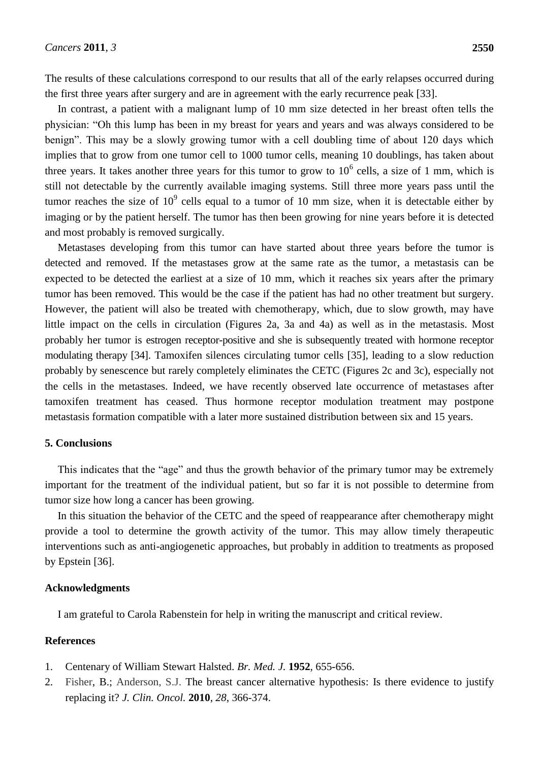The results of these calculations correspond to our results that all of the early relapses occurred during the first three years after surgery and are in agreement with the early recurrence peak [33].

In contrast, a patient with a malignant lump of 10 mm size detected in her breast often tells the physician: "Oh this lump has been in my breast for years and years and was always considered to be benign". This may be a slowly growing tumor with a cell doubling time of about 120 days which implies that to grow from one tumor cell to 1000 tumor cells, meaning 10 doublings, has taken about three years. It takes another three years for this tumor to grow to  $10^6$  cells, a size of 1 mm, which is still not detectable by the currently available imaging systems. Still three more years pass until the tumor reaches the size of  $10^9$  cells equal to a tumor of 10 mm size, when it is detectable either by imaging or by the patient herself. The tumor has then been growing for nine years before it is detected and most probably is removed surgically.

Metastases developing from this tumor can have started about three years before the tumor is detected and removed. If the metastases grow at the same rate as the tumor, a metastasis can be expected to be detected the earliest at a size of 10 mm, which it reaches six years after the primary tumor has been removed. This would be the case if the patient has had no other treatment but surgery. However, the patient will also be treated with chemotherapy, which, due to slow growth, may have little impact on the cells in circulation (Figures 2a, 3a and 4a) as well as in the metastasis. Most probably her tumor is estrogen receptor-positive and she is subsequently treated with hormone receptor modulating therapy [34]. Tamoxifen silences circulating tumor cells [35], leading to a slow reduction probably by senescence but rarely completely eliminates the CETC (Figures 2c and 3c), especially not the cells in the metastases. Indeed, we have recently observed late occurrence of metastases after tamoxifen treatment has ceased. Thus hormone receptor modulation treatment may postpone metastasis formation compatible with a later more sustained distribution between six and 15 years.

#### **5. Conclusions**

This indicates that the "age" and thus the growth behavior of the primary tumor may be extremely important for the treatment of the individual patient, but so far it is not possible to determine from tumor size how long a cancer has been growing.

In this situation the behavior of the CETC and the speed of reappearance after chemotherapy might provide a tool to determine the growth activity of the tumor. This may allow timely therapeutic interventions such as anti-angiogenetic approaches, but probably in addition to treatments as proposed by Epstein [36].

#### **Acknowledgments**

I am grateful to Carola Rabenstein for help in writing the manuscript and critical review.

### **References**

- 1. Centenary of William Stewart Halsted. *Br. Med. J.* **1952**, 655-656.
- 2. [Fisher,](http://jco.ascopubs.org/search?author1=Bernard+Fisher&sortspec=date&submit=Submit) B.; [Anderson,](http://jco.ascopubs.org/search?author1=Stewart+J.+Anderson&sortspec=date&submit=Submit) S.J. The breast cancer alternative hypothesis: Is there evidence to justify replacing it? *J. Clin. [Oncol.](javascript:AL_get(this,%20)* **2010**, *28*, 366-374.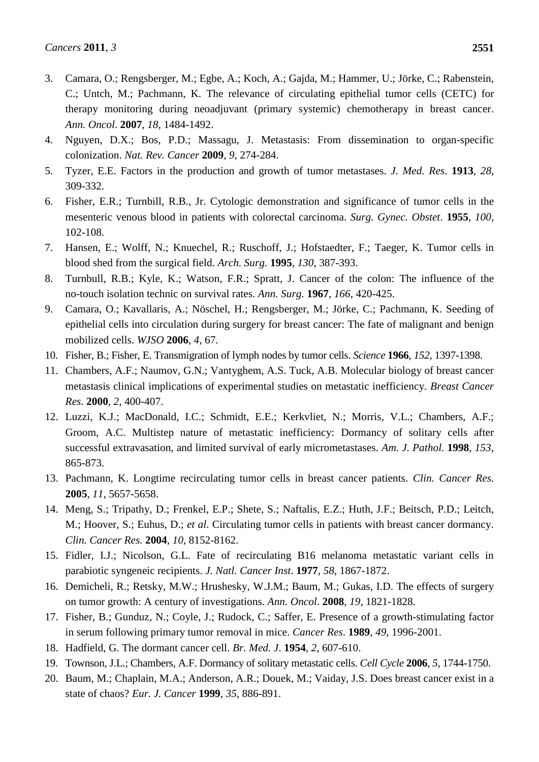- 3. Camara, O.; Rengsberger, M.; Egbe, A.; Koch, A.; Gajda, M.; Hammer, U.; Jörke, C.; Rabenstein, C.; Untch, M.; Pachmann, K. The relevance of circulating epithelial tumor cells (CETC) for therapy monitoring during neoadjuvant (primary systemic) chemotherapy in breast cancer. *Ann. Oncol*. **2007**, *18*, 1484-1492.
- 4. Nguyen, D.X.; Bos, P.D.; Massagu, J. Metastasis: From dissemination to organ-specific colonization. *Nat. Rev. Cancer* **2009**, *9*, 274-284.
- 5. Tyzer, E.E. Factors in the production and growth of tumor metastases. *J. Med. Res*. **1913**, *28*, 309-332.
- 6. Fisher, E.R.; Turnbill, R.B., Jr. Cytologic demonstration and significance of tumor cells in the mesenteric venous blood in patients with colorectal carcinoma. *Surg. Gynec. Obstet*. **1955**, *100*, 102-108.
- 7. [Hansen,](http://www.ncbi.nlm.nih.gov/sites/entrez?Db=pubmed&Cmd=Search&Term=%22Hansen%20E%22%5BAuthor%5D&itool=EntrezSystem2.PEntrez.Pubmed.Pubmed_ResultsPanel.Pubmed_DiscoveryPanel.Pubmed_RVAbstractPlus) E.; [Wolff,](http://www.ncbi.nlm.nih.gov/sites/entrez?Db=pubmed&Cmd=Search&Term=%22Wolff%20N%22%5BAuthor%5D&itool=EntrezSystem2.PEntrez.Pubmed.Pubmed_ResultsPanel.Pubmed_DiscoveryPanel.Pubmed_RVAbstractPlus) N.; [Knuechel,](http://www.ncbi.nlm.nih.gov/sites/entrez?Db=pubmed&Cmd=Search&Term=%22Knuechel%20R%22%5BAuthor%5D&itool=EntrezSystem2.PEntrez.Pubmed.Pubmed_ResultsPanel.Pubmed_DiscoveryPanel.Pubmed_RVAbstractPlus) R.; [Ruschoff,](http://www.ncbi.nlm.nih.gov/sites/entrez?Db=pubmed&Cmd=Search&Term=%22Ruschoff%20J%22%5BAuthor%5D&itool=EntrezSystem2.PEntrez.Pubmed.Pubmed_ResultsPanel.Pubmed_DiscoveryPanel.Pubmed_RVAbstractPlus) J.; [Hofstaedter,](http://www.ncbi.nlm.nih.gov/sites/entrez?Db=pubmed&Cmd=Search&Term=%22Hofstaedter%20F%22%5BAuthor%5D&itool=EntrezSystem2.PEntrez.Pubmed.Pubmed_ResultsPanel.Pubmed_DiscoveryPanel.Pubmed_RVAbstractPlus) F.; [Taeger,](http://www.ncbi.nlm.nih.gov/sites/entrez?Db=pubmed&Cmd=Search&Term=%22Taeger%20K%22%5BAuthor%5D&itool=EntrezSystem2.PEntrez.Pubmed.Pubmed_ResultsPanel.Pubmed_DiscoveryPanel.Pubmed_RVAbstractPlus) K. Tumor cells in blood shed from the surgical field. *Arch. Surg.* **1995**, *130*, 387-393.
- 8. Turnbull, R.B.; Kyle, K.; Watson, F.R.; Spratt, J. Cancer of the colon: The influence of the no-touch isolation technic on survival rates. *Ann. Surg.* **1967**, *166*, 420-425.
- 9. Camara, O.; Kavallaris, A.; Nöschel, H.; Rengsberger, M.; Jörke, C.; Pachmann, K. Seeding of epithelial cells into circulation during surgery for breast cancer: The fate of malignant and benign mobilized cells. *WJSO* **2006**, *4*, 67.
- 10. Fisher, B.; Fisher, E. Transmigration of lymph nodes by tumor cells. *Science* **1966**, *152*, 1397-1398.
- 11. Chambers, A.F.; Naumov, G.N.; Vantyghem, A.S. Tuck, A.B. Molecular biology of breast cancer metastasis clinical implications of experimental studies on metastatic inefficiency. *Breast Cancer Res.* **2000**, *2*, 400-407.
- 12. Luzzi, K.J.; MacDonald, I.C.; Schmidt, E.E.; Kerkvliet, N.; Morris, V.L.; Chambers, A.F.; Groom, A.C. Multistep nature of metastatic inefficiency: Dormancy of solitary cells after successful extravasation, and limited survival of early micrometastases. *Am. J. Pathol.* **1998**, *153*, 865-873.
- 13. Pachmann, K. Longtime recirculating tumor cells in breast cancer patients. *Clin. Cancer Res.* **2005**, *11*, 5657-5658.
- 14. Meng, S.; Tripathy, D.; Frenkel, E.P.; [Shete, S.; Naftalis, E.Z.; Huth, J.F.; Beitsch, P.D.; Leitch,](http://www.ncbi.nlm.nih.gov/entrez/query.fcgi?cmd=Retrieve&db=pubmed&dopt=Abstract&list_uids=15623589&query_hl=17)  [M.](http://www.ncbi.nlm.nih.gov/entrez/query.fcgi?cmd=Retrieve&db=pubmed&dopt=Abstract&list_uids=15623589&query_hl=17); [Hoover, S.](http://www.ncbi.nlm.nih.gov/entrez/query.fcgi?cmd=Retrieve&db=pubmed&dopt=Abstract&list_uids=15623589&query_hl=17); [Euhus, D.](http://www.ncbi.nlm.nih.gov/entrez/query.fcgi?cmd=Retrieve&db=pubmed&dopt=Abstract&list_uids=15623589&query_hl=17); *et al*. Circulating tumor cells in patients with breast cancer dormancy. *Clin. Cancer Res.* **2004**, *10*, 8152-8162.
- 15. Fidler, I.J.; Nicolson, G.L. Fate of recirculating B16 melanoma metastatic variant cells in parabiotic syngeneic recipients. *J. Natl. Cancer Inst*. **1977**, *58*, 1867-1872.
- 16. Demicheli, R.; Retsky, M.W.; Hrushesky, W.J.M.; Baum, M.; Gukas, I.D. The effects of surgery on tumor growth: A century of investigations. *Ann. Oncol*. **2008**, *19*, 1821-1828.
- 17. Fisher, B.; Gunduz, N.; Coyle, J.; Rudock, C.; Saffer, E. Presence of a growth-stimulating factor in serum following primary tumor removal in mice. *Cancer Res*. **1989**, *49*, 1996-2001.
- 18. Hadfield, G. The dormant cancer cell. *Br. Med. J*. **1954**, *2*, 607-610.
- 19. Townson, J.L.; Chambers, A.F. Dormancy of solitary metastatic cells. *Cell Cycle* **2006**, *5*, 1744-1750.
- 20. Baum, M.; Chaplain, M.A.; Anderson, A.R.; Douek, M.; Vaiday, J.S. Does breast cancer exist in a state of chaos? *Eur. J. Cancer* **1999**, *35*, 886-891.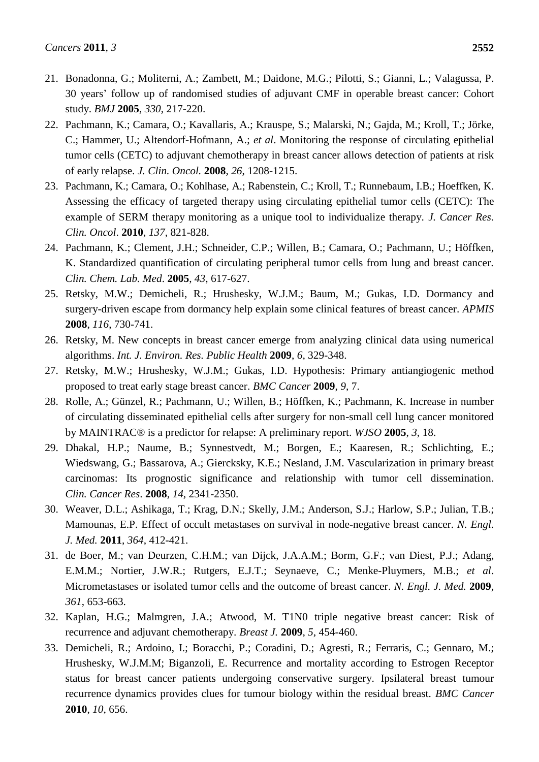- 21. Bonadonna, G.; Moliterni, A.; Zambett, M.; [Daidone, M.G.](http://www.ncbi.nlm.nih.gov/pubmed?term=%22Daidone%20MG%22%5BAuthor%5D); [Pilotti, S.](http://www.ncbi.nlm.nih.gov/pubmed?term=%22Pilotti%20S%22%5BAuthor%5D); [Gianni, L.](http://www.ncbi.nlm.nih.gov/pubmed?term=%22Gianni%20L%22%5BAuthor%5D); [Valagussa, P.](http://www.ncbi.nlm.nih.gov/pubmed?term=%22Valagussa%20P%22%5BAuthor%5D) 30 years' follow up of randomised studies of adjuvant CMF in operable breast cancer: Cohort study. *BMJ* **2005**, *330*, 217-220.
- 22. Pachmann, K.; Camara, O.; Kavallaris, A.; Krauspe, S.; Malarski, N.; Gajda, M.; Kroll, T.; Jörke, C.; Hammer, U.; Altendorf-Hofmann, A.; *et al*. Monitoring the response of circulating epithelial tumor cells (CETC) to adjuvant chemotherapy in breast cancer allows detection of patients at risk of early relapse. *J. Clin. Oncol.* **2008**, *26*, 1208-1215.
- 23. Pachmann, K.; [Camara,](http://www.ncbi.nlm.nih.gov/pubmed?term=%22Camara%20O%22%5BAuthor%5D) O.; [Kohlhase,](http://www.ncbi.nlm.nih.gov/pubmed?term=%22Kohlhase%20A%22%5BAuthor%5D) A.; [Rabenstein,](http://www.ncbi.nlm.nih.gov/pubmed?term=%22Rabenstein%20C%22%5BAuthor%5D) C.; [Kroll,](http://www.ncbi.nlm.nih.gov/pubmed?term=%22Kroll%20T%22%5BAuthor%5D) T.; [Runnebaum,](http://www.ncbi.nlm.nih.gov/pubmed?term=%22Runnebaum%20IB%22%5BAuthor%5D) I.B.; [Hoeffken,](http://www.ncbi.nlm.nih.gov/pubmed?term=%22Hoeffken%20K%22%5BAuthor%5D) K. Assessing the efficacy of targeted therapy using circulating epithelial tumor cells (CETC): The example of SERM therapy monitoring as a unique tool to individualize therapy. *J. Cancer Res. Clin. Oncol*. **2010**, *137*, 821-828.
- 24. Pachmann, K.; Clement, J.H.; Schneider, C.P.; Willen, B.; Camara, O.; Pachmann, U.; Höffken, K. Standardized quantification of circulating peripheral tumor cells from lung and breast cancer. *Clin. Chem. Lab. Med*. **2005**, *43*, 617-627.
- 25. Retsky, M.W.; Demicheli, R.; Hrushesky, W.J.M.; Baum, M.; Gukas, I.D. Dormancy and surgery-driven escape from dormancy help explain some clinical features of breast cancer. *APMIS* **2008**, *116*, 730-741.
- 26. Retsky, M. New concepts in breast cancer emerge from analyzing clinical data using numerical algorithms. *Int. J. Environ. Res. Public Health* **2009**, *6*, 329-348.
- 27. Retsky, M.W.; Hrushesky, W.J.M.; Gukas, I.D. Hypothesis: Primary antiangiogenic method proposed to treat early stage breast cancer. *BMC Cancer* **2009**, *9*, 7.
- 28. Rolle, A.; Günzel, R.; Pachmann, U.; Willen, B.; Höffken, K.; Pachmann, K. Increase in number of circulating disseminated epithelial cells after surgery for non-small cell lung cancer monitored by MAINTRAC® is a predictor for relapse: A preliminary report. *WJSO* **2005**, *3*, 18.
- 29. Dhakal, H.P.; Naume, B.; Synnestvedt, M.; [Borgen, E.](http://www.ncbi.nlm.nih.gov/pubmed?term=%22Borgen%20E%22%5BAuthor%5D); [Kaaresen, R.](http://www.ncbi.nlm.nih.gov/pubmed?term=%22Kaaresen%20R%22%5BAuthor%5D); [Schlichting, E.](http://www.ncbi.nlm.nih.gov/pubmed?term=%22Schlichting%20E%22%5BAuthor%5D); [Wiedswang, G.](http://www.ncbi.nlm.nih.gov/pubmed?term=%22Wiedswang%20G%22%5BAuthor%5D); [Bassarova, A.](http://www.ncbi.nlm.nih.gov/pubmed?term=%22Bassarova%20A%22%5BAuthor%5D); [Giercksky, K.E.](http://www.ncbi.nlm.nih.gov/pubmed?term=%22Giercksky%20KE%22%5BAuthor%5D); [Nesland, J.M.](http://www.ncbi.nlm.nih.gov/pubmed?term=%22Nesland%20JM%22%5BAuthor%5D) Vascularization in primary breast carcinomas: Its prognostic significance and relationship with tumor cell dissemination. *Clin. Cancer Res*. **2008**, *14*, 2341-2350.
- 30. Weaver, D.L.; Ashikaga, T.; Krag, D.N.; Skelly, J.M.; Anderson, S.J.; Harlow, S.P.; Julian, T.B.; Mamounas, E.P. Effect of occult metastases on survival in node-negative breast cancer. *N. Engl. J. Med.* **2011**, *364*, 412-421.
- 31. de Boer, M.; van Deurzen, C.H.M.; van Dijck, J.A.A.M.; Borm, G.F.; van Diest, P.J.; Adang, E.M.M.; Nortier, J.W.R.; Rutgers, E.J.T.; [Seynaeve, C.](http://www.ncbi.nlm.nih.gov/pubmed?term=%22Seynaeve%20C%22%5BAuthor%5D); [Menke-Pluymers, M.B.](http://www.ncbi.nlm.nih.gov/pubmed?term=%22Menke-Pluymers%20MB%22%5BAuthor%5D); *et al*. Micrometastases or isolated tumor cells and the outcome of breast cancer. *N. Engl. J. Med.* **2009**, *361*, 653-663.
- 32. Kaplan, H.G.; Malmgren, J.A.; Atwood, M. T1N0 triple negative breast cancer: Risk of recurrence and adjuvant chemotherapy. *[Breast J.](javascript:AL_get(this,%20)* **2009**, *5*, 454-460.
- 33. Demicheli, R.; Ardoino, I.; Boracchi, P.; Coradini, D.; Agresti, R.; Ferraris, C.; Gennaro, M.; Hrushesky, W.J.M.M; Biganzoli, E. Recurrence and mortality according to Estrogen Receptor status for breast cancer patients undergoing conservative surgery. Ipsilateral breast tumour recurrence dynamics provides clues for tumour biology within the residual breast. *BMC Cancer* **2010**, *10*, 656.